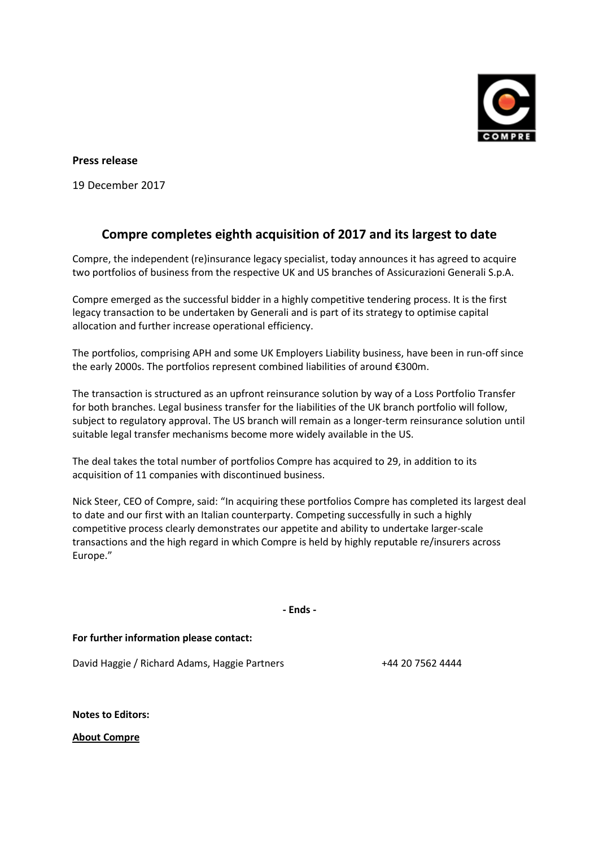

**Press release**

19 December 2017

## **Compre completes eighth acquisition of 2017 and its largest to date**

Compre, the independent (re)insurance legacy specialist, today announces it has agreed to acquire two portfolios of business from the respective UK and US branches of Assicurazioni Generali S.p.A.

Compre emerged as the successful bidder in a highly competitive tendering process. It is the first legacy transaction to be undertaken by Generali and is part of its strategy to optimise capital allocation and further increase operational efficiency.

The portfolios, comprising APH and some UK Employers Liability business, have been in run-off since the early 2000s. The portfolios represent combined liabilities of around €300m.

The transaction is structured as an upfront reinsurance solution by way of a Loss Portfolio Transfer for both branches. Legal business transfer for the liabilities of the UK branch portfolio will follow, subject to regulatory approval. The US branch will remain as a longer-term reinsurance solution until suitable legal transfer mechanisms become more widely available in the US.

The deal takes the total number of portfolios Compre has acquired to 29, in addition to its acquisition of 11 companies with discontinued business.

Nick Steer, CEO of Compre, said: "In acquiring these portfolios Compre has completed its largest deal to date and our first with an Italian counterparty. Competing successfully in such a highly competitive process clearly demonstrates our appetite and ability to undertake larger-scale transactions and the high regard in which Compre is held by highly reputable re/insurers across Europe."

**- Ends -**

**For further information please contact:**

David Haggie / Richard Adams, Haggie Partners +44 20 7562 4444

**Notes to Editors:** 

**About Compre**